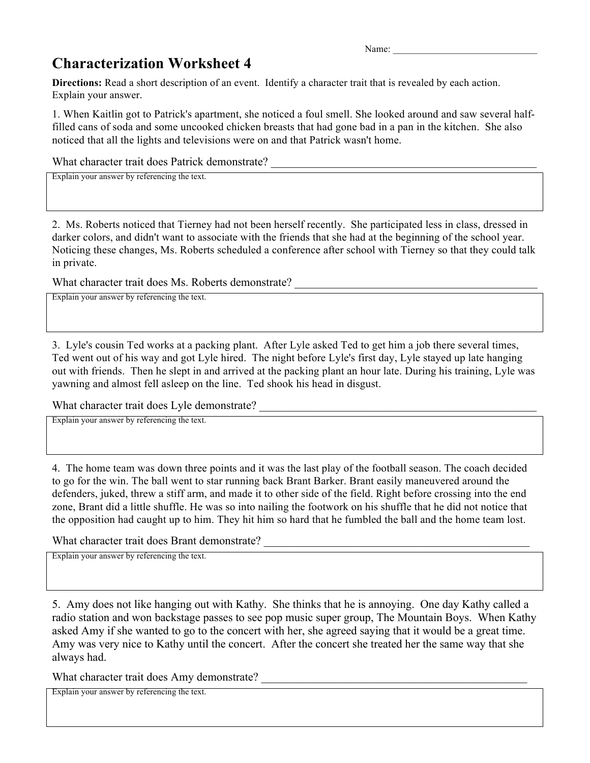Name:

## **Characterization Worksheet 4**

**Directions:** Read a short description of an event. Identify a character trait that is revealed by each action. Explain your answer.

1. When Kaitlin got to Patrick's apartment, she noticed a foul smell. She looked around and saw several halffilled cans of soda and some uncooked chicken breasts that had gone bad in a pan in the kitchen. She also noticed that all the lights and televisions were on and that Patrick wasn't home.

What character trait does Patrick demonstrate? \_\_\_\_\_\_\_\_\_\_\_\_\_\_\_\_\_\_\_\_\_\_\_\_\_\_\_\_\_\_\_\_\_

Explain your answer by referencing the text.

2. Ms. Roberts noticed that Tierney had not been herself recently. She participated less in class, dressed in darker colors, and didn't want to associate with the friends that she had at the beginning of the school year. Noticing these changes, Ms. Roberts scheduled a conference after school with Tierney so that they could talk in private.

What character trait does Ms. Roberts demonstrate?

Explain your answer by referencing the text.

3. Lyle's cousin Ted works at a packing plant. After Lyle asked Ted to get him a job there several times, Ted went out of his way and got Lyle hired. The night before Lyle's first day, Lyle stayed up late hanging out with friends. Then he slept in and arrived at the packing plant an hour late. During his training, Lyle was yawning and almost fell asleep on the line. Ted shook his head in disgust.

What character trait does Lyle demonstrate?

Explain your answer by referencing the text.

4. The home team was down three points and it was the last play of the football season. The coach decided to go for the win. The ball went to star running back Brant Barker. Brant easily maneuvered around the defenders, juked, threw a stiff arm, and made it to other side of the field. Right before crossing into the end zone, Brant did a little shuffle. He was so into nailing the footwork on his shuffle that he did not notice that the opposition had caught up to him. They hit him so hard that he fumbled the ball and the home team lost.

What character trait does Brant demonstrate? \_\_\_\_\_\_\_\_\_\_\_\_\_\_\_\_\_\_\_\_\_\_\_\_\_\_\_\_\_\_\_\_\_\_\_

Explain your answer by referencing the text.

5. Amy does not like hanging out with Kathy. She thinks that he is annoying. One day Kathy called a radio station and won backstage passes to see pop music super group, The Mountain Boys. When Kathy asked Amy if she wanted to go to the concert with her, she agreed saying that it would be a great time. Amy was very nice to Kathy until the concert. After the concert she treated her the same way that she always had.

What character trait does Amy demonstrate?

Explain your answer by referencing the text.